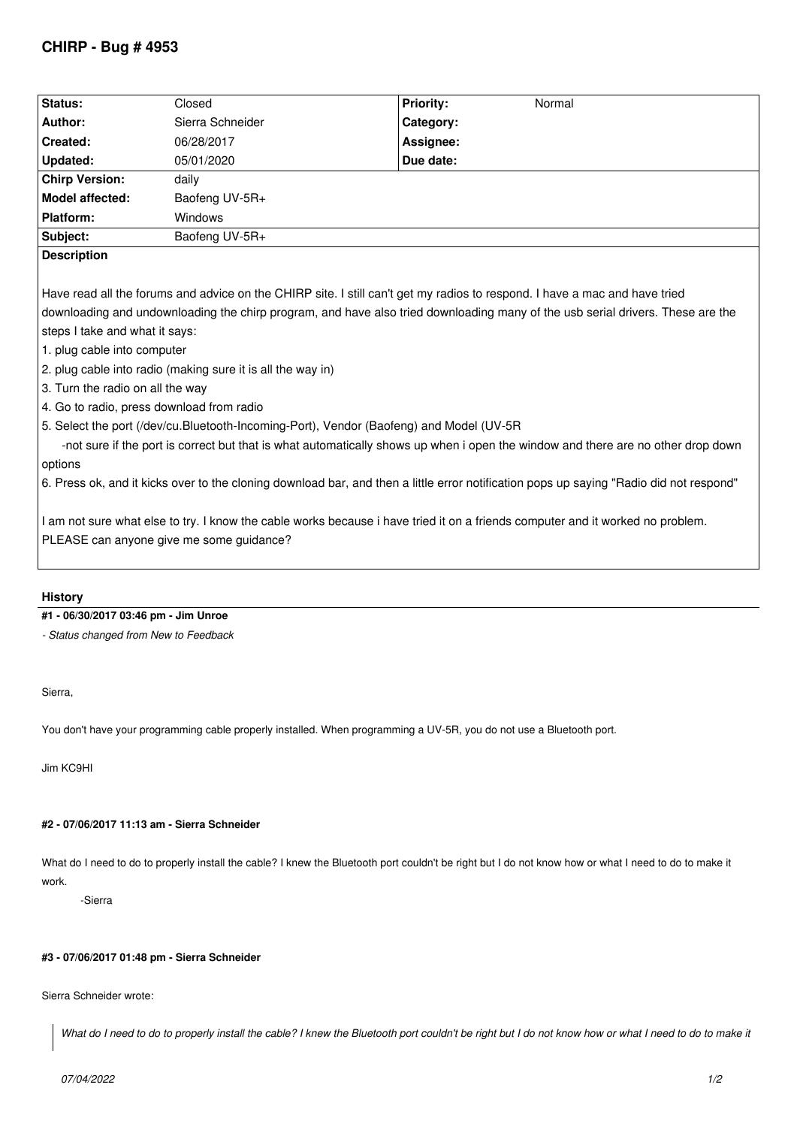| Status:                          | Closed                                                      | <b>Priority:</b>                                                                                                           | Normal                                                                                                                         |
|----------------------------------|-------------------------------------------------------------|----------------------------------------------------------------------------------------------------------------------------|--------------------------------------------------------------------------------------------------------------------------------|
| Author:                          | Sierra Schneider                                            | Category:                                                                                                                  |                                                                                                                                |
| Created:                         | 06/28/2017                                                  | Assignee:                                                                                                                  |                                                                                                                                |
| Updated:                         | 05/01/2020                                                  | Due date:                                                                                                                  |                                                                                                                                |
| <b>Chirp Version:</b>            | daily                                                       |                                                                                                                            |                                                                                                                                |
| <b>Model affected:</b>           | Baofeng UV-5R+                                              |                                                                                                                            |                                                                                                                                |
| Platform:                        | Windows                                                     |                                                                                                                            |                                                                                                                                |
| Subject:                         | Baofeng UV-5R+                                              |                                                                                                                            |                                                                                                                                |
| <b>Description</b>               |                                                             |                                                                                                                            |                                                                                                                                |
|                                  |                                                             | Have read all the forums and advice on the CHIRP site. I still can't get my radios to respond. I have a mac and have tried |                                                                                                                                |
|                                  |                                                             |                                                                                                                            | downloading and undownloading the chirp program, and have also tried downloading many of the usb serial drivers. These are the |
| steps I take and what it says:   |                                                             |                                                                                                                            |                                                                                                                                |
| 1. plug cable into computer      |                                                             |                                                                                                                            |                                                                                                                                |
|                                  | 2. plug cable into radio (making sure it is all the way in) |                                                                                                                            |                                                                                                                                |
| 3. Turn the radio on all the way |                                                             |                                                                                                                            |                                                                                                                                |

- *4. Go to radio, press download from radio*
- *5. Select the port (/dev/cu.Bluetooth-Incoming-Port), Vendor (Baofeng) and Model (UV-5R*

 *-not sure if the port is correct but that is what automatically shows up when i open the window and there are no other drop down options*

*6. Press ok, and it kicks over to the cloning download bar, and then a little error notification pops up saying "Radio did not respond"*

*I am not sure what else to try. I know the cable works because i have tried it on a friends computer and it worked no problem. PLEASE can anyone give me some guidance?*

# **History**

## **#1 - 06/30/2017 03:46 pm - Jim Unroe**

*- Status changed from New to Feedback*

## *Sierra,*

*You don't have your programming cable properly installed. When programming a UV-5R, you do not use a Bluetooth port.*

*Jim KC9HI*

## **#2 - 07/06/2017 11:13 am - Sierra Schneider**

What do I need to do to properly install the cable? I knew the Bluetooth port couldn't be right but I do not know how or what I need to do to make it *work.*

 *-Sierra*

## **#3 - 07/06/2017 01:48 pm - Sierra Schneider**

*Sierra Schneider wrote:*

What do I need to do to properly install the cable? I knew the Bluetooth port couldn't be right but I do not know how or what I need to do to make it